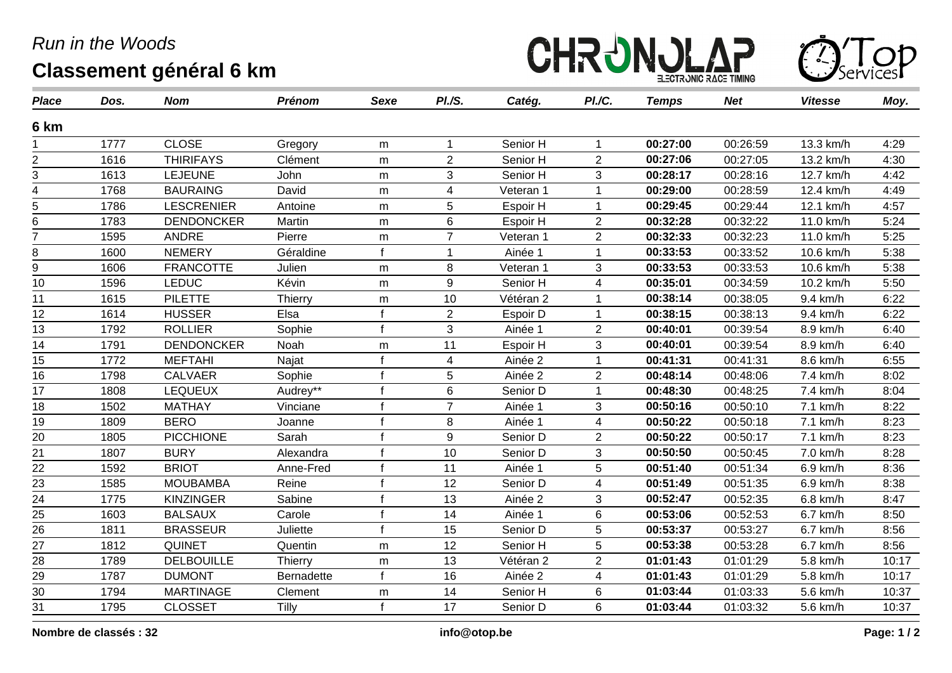## *Run in the Woods* **Classement général 6 km**





| <b>Place</b>    | Dos. | <b>Nom</b>        | <b>Prénom</b>  | Sexe         | PI.S.            | Catég.    | PI./C.         | <b>Temps</b> | <b>Net</b> | <b>Vitesse</b> | Moy.  |
|-----------------|------|-------------------|----------------|--------------|------------------|-----------|----------------|--------------|------------|----------------|-------|
| 6 km            |      |                   |                |              |                  |           |                |              |            |                |       |
|                 | 1777 | <b>CLOSE</b>      | Gregory        | m            | -1               | Senior H  |                | 00:27:00     | 00:26:59   | 13.3 km/h      | 4:29  |
| $\overline{2}$  | 1616 | <b>THIRIFAYS</b>  | Clément        | m            | $\overline{2}$   | Senior H  | $\overline{2}$ | 00:27:06     | 00:27:05   | 13.2 km/h      | 4:30  |
| 3               | 1613 | <b>LEJEUNE</b>    | John           | m            | 3                | Senior H  | 3              | 00:28:17     | 00:28:16   | 12.7 km/h      | 4:42  |
| 4               | 1768 | <b>BAURAING</b>   | David          | m            | $\overline{4}$   | Veteran 1 |                | 00:29:00     | 00:28:59   | 12.4 km/h      | 4:49  |
| 5               | 1786 | LESCRENIER        | Antoine        | m            | 5                | Espoir H  |                | 00:29:45     | 00:29:44   | 12.1 km/h      | 4:57  |
| 6               | 1783 | <b>DENDONCKER</b> | Martin         | m            | 6                | Espoir H  | $\overline{2}$ | 00:32:28     | 00:32:22   | 11.0 km/h      | 5:24  |
| $\overline{7}$  | 1595 | <b>ANDRE</b>      | Pierre         | m            | $\overline{7}$   | Veteran 1 | $\overline{2}$ | 00:32:33     | 00:32:23   | 11.0 km/h      | 5:25  |
| 8               | 1600 | <b>NEMERY</b>     | Géraldine      | $\mathbf f$  | 1                | Ainée 1   |                | 00:33:53     | 00:33:52   | 10.6 km/h      | 5:38  |
| 9               | 1606 | <b>FRANCOTTE</b>  | Julien         | m            | 8                | Veteran 1 | 3              | 00:33:53     | 00:33:53   | 10.6 km/h      | 5:38  |
| 10              | 1596 | <b>LEDUC</b>      | Kévin          | m            | 9                | Senior H  | $\overline{4}$ | 00:35:01     | 00:34:59   | 10.2 km/h      | 5:50  |
| 11              | 1615 | <b>PILETTE</b>    | <b>Thierry</b> | m            | 10               | Vétéran 2 |                | 00:38:14     | 00:38:05   | 9.4 km/h       | 6:22  |
| 12              | 1614 | <b>HUSSER</b>     | Elsa           | $\mathbf f$  | $\overline{2}$   | Espoir D  |                | 00:38:15     | 00:38:13   | 9.4 km/h       | 6:22  |
| 13              | 1792 | <b>ROLLIER</b>    | Sophie         | $\mathbf f$  | 3                | Ainée 1   | $\overline{2}$ | 00:40:01     | 00:39:54   | 8.9 km/h       | 6:40  |
| 14              | 1791 | <b>DENDONCKER</b> | Noah           | m            | 11               | Espoir H  | 3              | 00:40:01     | 00:39:54   | 8.9 km/h       | 6:40  |
| 15              | 1772 | <b>MEFTAHI</b>    | Najat          |              | 4                | Ainée 2   |                | 00:41:31     | 00:41:31   | 8.6 km/h       | 6:55  |
| 16              | 1798 | <b>CALVAER</b>    | Sophie         | $\mathbf f$  | 5                | Ainée 2   | $\overline{2}$ | 00:48:14     | 00:48:06   | 7.4 km/h       | 8:02  |
| 17              | 1808 | <b>LEQUEUX</b>    | Audrey**       | $\mathbf f$  | 6                | Senior D  | 1              | 00:48:30     | 00:48:25   | 7.4 km/h       | 8:04  |
| 18              | 1502 | <b>MATHAY</b>     | Vinciane       |              | $\overline{7}$   | Ainée 1   | 3              | 00:50:16     | 00:50:10   | 7.1 km/h       | 8:22  |
| 19              | 1809 | <b>BERO</b>       | Joanne         |              | 8                | Ainée 1   | 4              | 00:50:22     | 00:50:18   | 7.1 km/h       | 8:23  |
| 20              | 1805 | <b>PICCHIONE</b>  | Sarah          |              | $\boldsymbol{9}$ | Senior D  | $\overline{2}$ | 00:50:22     | 00:50:17   | 7.1 km/h       | 8:23  |
| 21              | 1807 | <b>BURY</b>       | Alexandra      |              | 10               | Senior D  | 3              | 00:50:50     | 00:50:45   | 7.0 km/h       | 8:28  |
| 22              | 1592 | <b>BRIOT</b>      | Anne-Fred      | $\mathbf{f}$ | 11               | Ainée 1   | 5              | 00:51:40     | 00:51:34   | 6.9 km/h       | 8:36  |
| 23              | 1585 | <b>MOUBAMBA</b>   | Reine          | $\mathbf f$  | 12               | Senior D  | 4              | 00:51:49     | 00:51:35   | 6.9 km/h       | 8:38  |
| $\overline{24}$ | 1775 | <b>KINZINGER</b>  | Sabine         | $\mathbf f$  | 13               | Ainée 2   | 3              | 00:52:47     | 00:52:35   | 6.8 km/h       | 8:47  |
| 25              | 1603 | <b>BALSAUX</b>    | Carole         | f            | 14               | Ainée 1   | $\,6$          | 00:53:06     | 00:52:53   | 6.7 km/h       | 8:50  |
| 26              | 1811 | <b>BRASSEUR</b>   | Juliette       | $\mathbf f$  | 15               | Senior D  | 5              | 00:53:37     | 00:53:27   | 6.7 km/h       | 8:56  |
| 27              | 1812 | QUINET            | Quentin        | m            | 12               | Senior H  | 5              | 00:53:38     | 00:53:28   | 6.7 km/h       | 8:56  |
| 28              | 1789 | <b>DELBOUILLE</b> | <b>Thierry</b> | m            | 13               | Vétéran 2 | $\overline{2}$ | 01:01:43     | 01:01:29   | 5.8 km/h       | 10:17 |
| $\frac{29}{ }$  | 1787 | <b>DUMONT</b>     | Bernadette     |              | 16               | Ainée 2   | $\overline{4}$ | 01:01:43     | 01:01:29   | 5.8 km/h       | 10:17 |
| 30              | 1794 | <b>MARTINAGE</b>  | Clement        | m            | 14               | Senior H  | 6              | 01:03:44     | 01:03:33   | 5.6 km/h       | 10:37 |
| 31              | 1795 | <b>CLOSSET</b>    | Tilly          | $\mathbf f$  | 17               | Senior D  | $6\phantom{1}$ | 01:03:44     | 01:03:32   | 5.6 km/h       | 10:37 |